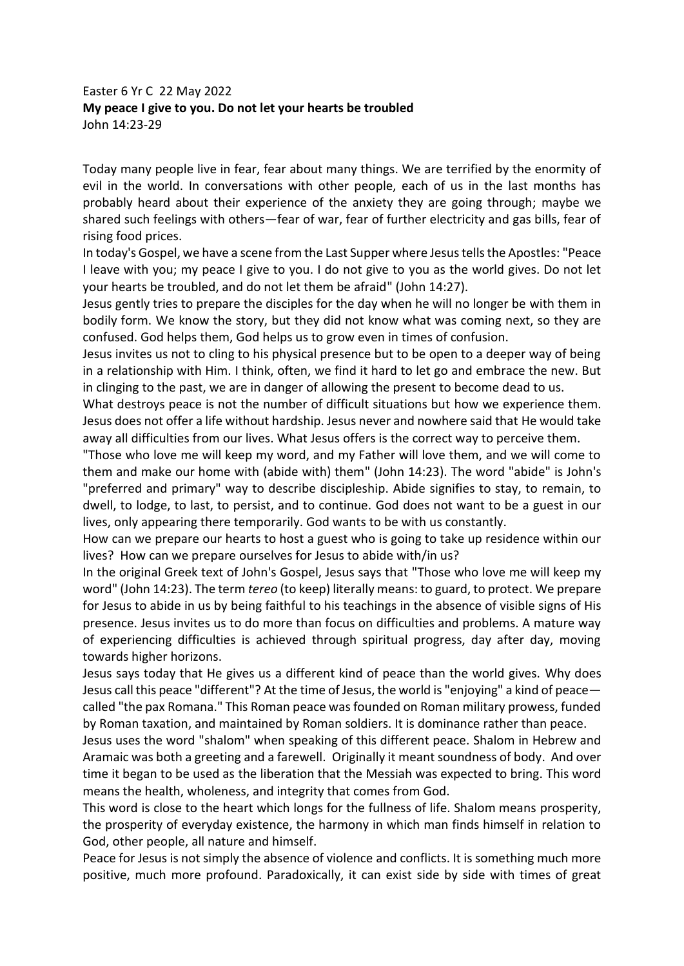## Easter 6 Yr C 22 May 2022 **My peace I give to you. Do not let your hearts be troubled**  John 14:23-29

Today many people live in fear, fear about many things. We are terrified by the enormity of evil in the world. In conversations with other people, each of us in the last months has probably heard about their experience of the anxiety they are going through; maybe we shared such feelings with others—fear of war, fear of further electricity and gas bills, fear of rising food prices.

In today's Gospel, we have a scene from the Last Supper where Jesus tells the Apostles: "Peace I leave with you; my peace I give to you. I do not give to you as the world gives. Do not let your hearts be troubled, and do not let them be afraid" (John 14:27).

Jesus gently tries to prepare the disciples for the day when he will no longer be with them in bodily form. We know the story, but they did not know what was coming next, so they are confused. God helps them, God helps us to grow even in times of confusion.

Jesus invites us not to cling to his physical presence but to be open to a deeper way of being in a relationship with Him. I think, often, we find it hard to let go and embrace the new. But in clinging to the past, we are in danger of allowing the present to become dead to us.

What destroys peace is not the number of difficult situations but how we experience them. Jesus does not offer a life without hardship. Jesus never and nowhere said that He would take away all difficulties from our lives. What Jesus offers is the correct way to perceive them.

"Those who love me will keep my word, and my Father will love them, and we will come to them and make our home with (abide with) them" (John 14:23). The word "abide" is John's "preferred and primary" way to describe discipleship. Abide signifies to stay, to remain, to dwell, to lodge, to last, to persist, and to continue. God does not want to be a guest in our lives, only appearing there temporarily. God wants to be with us constantly.

How can we prepare our hearts to host a guest who is going to take up residence within our lives? How can we prepare ourselves for Jesus to abide with/in us?

In the original Greek text of John's Gospel, Jesus says that "Those who love me will keep my word" (John 14:23). The term *tereo* (to keep) literally means: to guard, to protect. We prepare for Jesus to abide in us by being faithful to his teachings in the absence of visible signs of His presence. Jesus invites us to do more than focus on difficulties and problems. A mature way of experiencing difficulties is achieved through spiritual progress, day after day, moving towards higher horizons.

Jesus says today that He gives us a different kind of peace than the world gives. Why does Jesus call this peace "different"? At the time of Jesus, the world is "enjoying" a kind of peace called "the pax Romana." This Roman peace was founded on Roman military prowess, funded by Roman taxation, and maintained by Roman soldiers. It is dominance rather than peace.

Jesus uses the word "shalom" when speaking of this different peace. Shalom in Hebrew and Aramaic was both a greeting and a farewell. Originally it meant soundness of body. And over time it began to be used as the liberation that the Messiah was expected to bring. This word means the health, wholeness, and integrity that comes from God.

This word is close to the heart which longs for the fullness of life. Shalom means prosperity, the prosperity of everyday existence, the harmony in which man finds himself in relation to God, other people, all nature and himself.

Peace for Jesus is not simply the absence of violence and conflicts. It is something much more positive, much more profound. Paradoxically, it can exist side by side with times of great